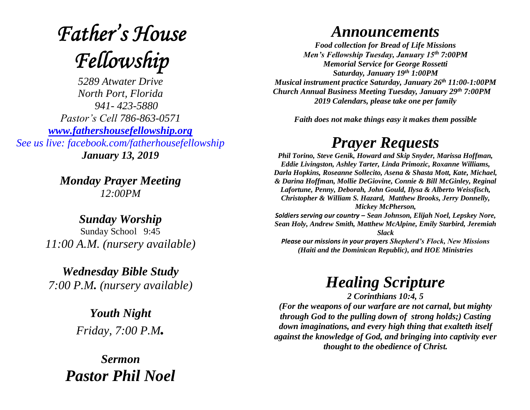# **Father's House** Fellowship

*5289 Atwater Drive North Port, Florida 941- 423-5880 Pastor's Cell 786-863-0571 [www.fathershousefellowship.org](http://www.fathershousefellowship.org/) See us live: facebook.com/fatherhousefellowship January 13, 2019*

> *Monday Prayer Meeting 12:00PM*

*Sunday Worship* Sunday School 9:45 *11:00 A.M. (nursery available)*

*Wednesday Bible Study 7:00 P.M. (nursery available)*

> *Youth Night Friday, 7:00 P.M.*

*Sermon Pastor Phil Noel*

#### *Announcements*

*Food collection for Bread of Life Missions Men's Fellowship Tuesday, January 15th 7:00PM Memorial Service for George Rossetti Saturday, January 19th 1:00PM Musical instrument practice Saturday, January 26th 11:00-1:00PM Church Annual Business Meeting Tuesday, January 29th 7:00PM 2019 Calendars, please take one per family*

*Faith does not make things easy it makes them possible*

## *Prayer Requests*

*Phil Torino, Steve Genik, Howard and Skip Snyder, Marissa Hoffman, Eddie Livingston, Ashley Tarter, Linda Primozic, Roxanne Williams, Darla Hopkins, Roseanne Sollecito, Asena & Shasta Mott, Kate, Michael, & Darina Hoffman, Mollie DeGiovine, Connie & Bill McGinley, Reginal Lafortune, Penny, Deborah, John Gould, Ilysa & Alberto Weissfisch, Christopher & William S. Hazard, Matthew Brooks, Jerry Donnelly, Mickey McPherson,* 

*Soldiers serving our country – Sean Johnson, Elijah Noel, Lepskey Nore, Sean Holy, Andrew Smith, Matthew McAlpine, Emily Starbird, Jeremiah Slack*

*Please our missions in your prayers Shepherd's Flock, New Missions (Haiti and the Dominican Republic), and HOE Ministries*

### *Healing Scripture*

*2 Corinthians 10:4, 5 (For the weapons of our warfare are not carnal, but mighty through God to the pulling down of strong holds;) Casting down imaginations, and every high thing that exalteth itself against the knowledge of God, and bringing into captivity ever thought to the obedience of Christ.*